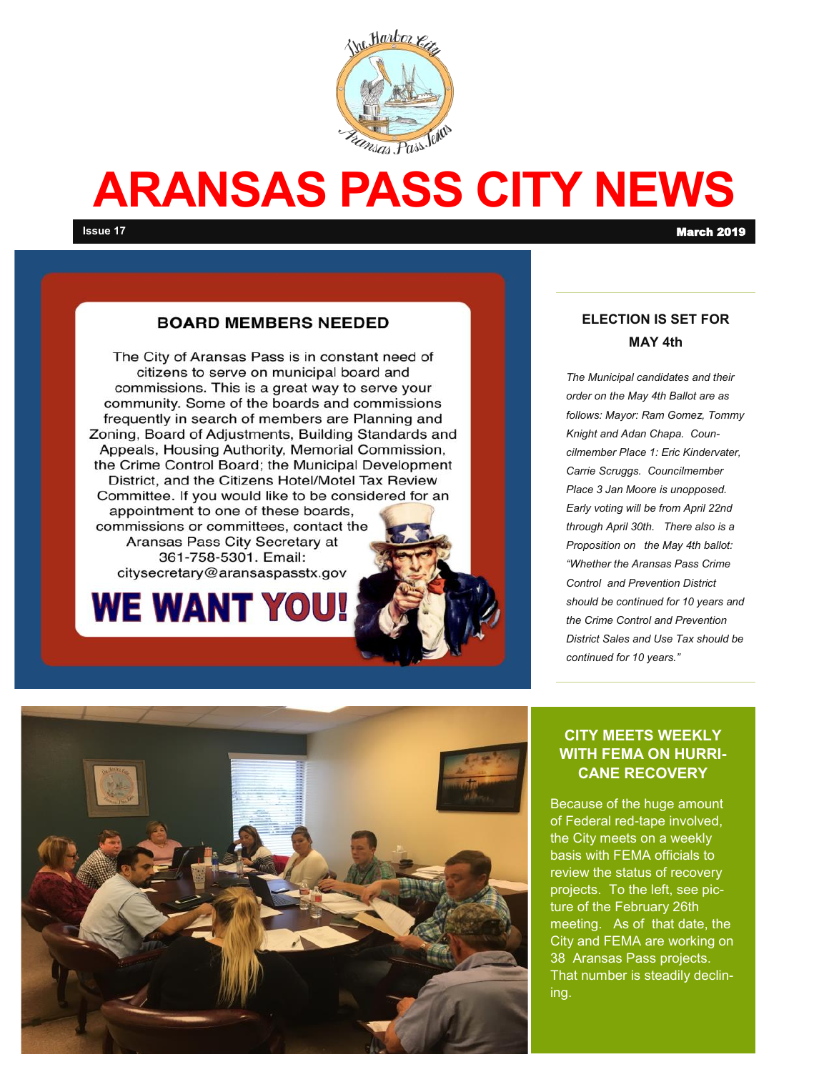

# **ARANSAS PASS CITY NEWS**

#### **BOARD MEMBERS NEEDED**

The City of Aransas Pass is in constant need of citizens to serve on municipal board and commissions. This is a great way to serve your community. Some of the boards and commissions frequently in search of members are Planning and Zoning, Board of Adjustments, Building Standards and Appeals, Housing Authority, Memorial Commission, the Crime Control Board; the Municipal Development District, and the Citizens Hotel/Motel Tax Review Committee. If you would like to be considered for an appointment to one of these boards, commissions or committees, contact the Aransas Pass City Secretary at 361-758-5301. Email: citysecretary@aransaspasstx.gov



#### **ELECTION IS SET FOR MAY 4th**

*The Municipal candidates and their order on the May 4th Ballot are as follows: Mayor: Ram Gomez, Tommy Knight and Adan Chapa. Councilmember Place 1: Eric Kindervater, Carrie Scruggs. Councilmember Place 3 Jan Moore is unopposed. Early voting will be from April 22nd through April 30th. There also is a Proposition on the May 4th ballot: "Whether the Aransas Pass Crime Control and Prevention District should be continued for 10 years and the Crime Control and Prevention District Sales and Use Tax should be continued for 10 years."*



#### **CITY MEETS WEEKLY WITH FEMA ON HURRI-CANE RECOVERY**

Because of the huge amount of Federal red-tape involved, the City meets on a weekly basis with FEMA officials to review the status of recovery projects. To the left, see picture of the February 26th meeting. As of that date, the City and FEMA are working on 38 Aransas Pass projects. That number is steadily declining.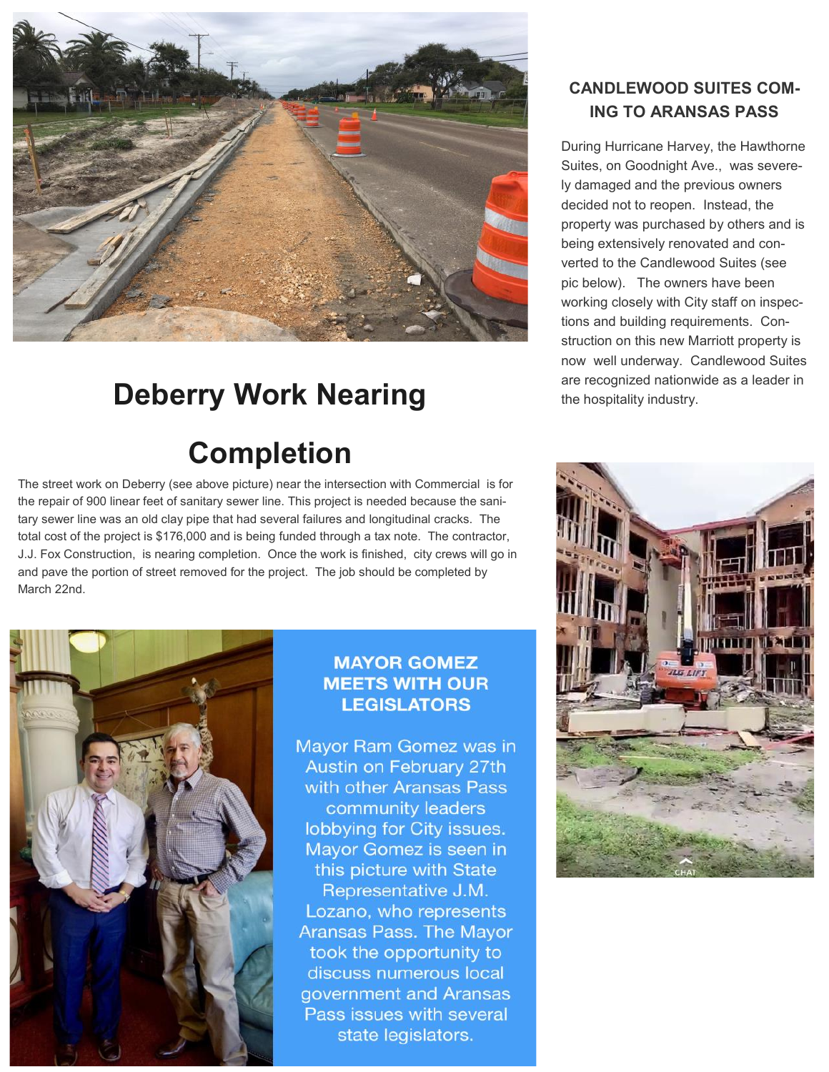

# **Deberry Work Nearing**

# **Completion**

The street work on Deberry (see above picture) near the intersection with Commercial is for the repair of 900 linear feet of sanitary sewer line. This project is needed because the sanitary sewer line was an old clay pipe that had several failures and longitudinal cracks. The total cost of the project is \$176,000 and is being funded through a tax note. The contractor, J.J. Fox Construction, is nearing completion. Once the work is finished, city crews will go in and pave the portion of street removed for the project. The job should be completed by March 22nd.



#### **MAYOR GOMEZ MEETS WITH OUR LEGISLATORS**

Mayor Ram Gomez was in **Austin on February 27th** with other Aransas Pass community leaders lobbying for City issues. Mayor Gomez is seen in this picture with State Representative J.M. Lozano, who represents **Aransas Pass. The Mayor** took the opportunity to discuss numerous local government and Aransas Pass issues with several state legislators.

## **CANDLEWOOD SUITES COM-ING TO ARANSAS PASS**

During Hurricane Harvey, the Hawthorne Suites, on Goodnight Ave., was severely damaged and the previous owners decided not to reopen. Instead, the property was purchased by others and is being extensively renovated and converted to the Candlewood Suites (see pic below). The owners have been working closely with City staff on inspections and building requirements. Construction on this new Marriott property is now well underway. Candlewood Suites are recognized nationwide as a leader in the hospitality industry.

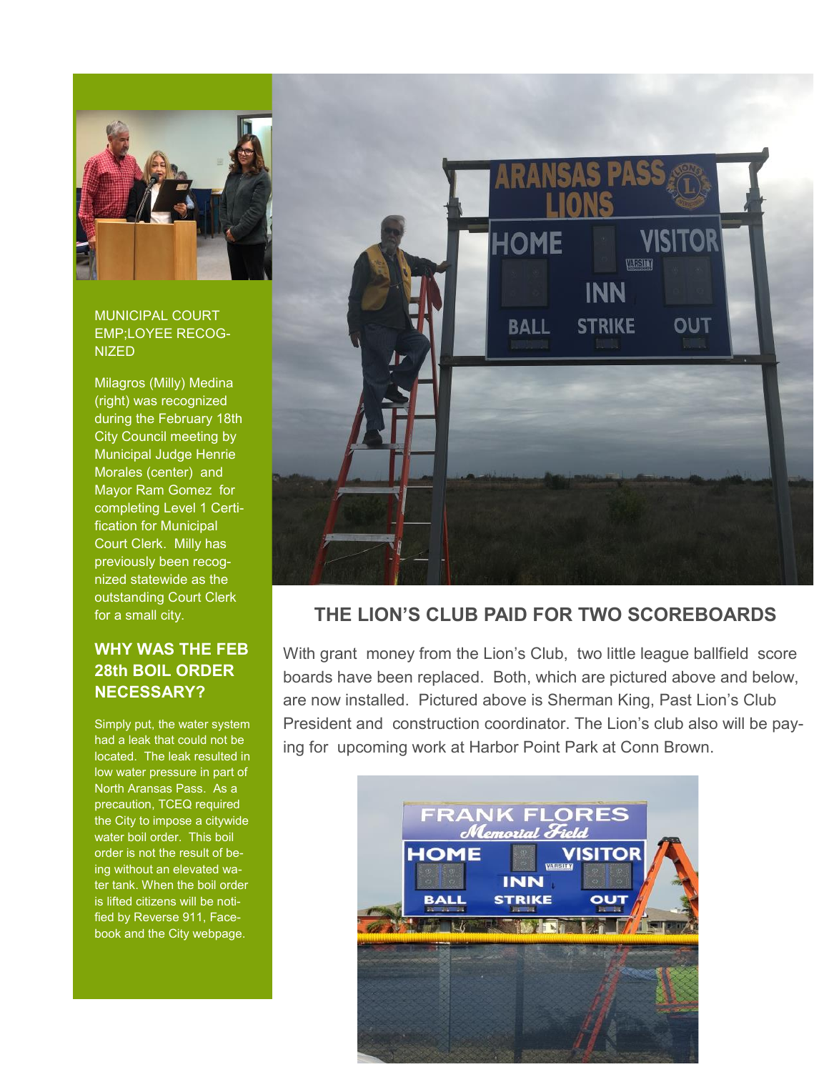

#### MUNICIPAL COURT EMP;LOYEE RECOG-NIZED

Milagros (Milly) Medina (right) was recognized during the February 18th City Council meeting by Municipal Judge Henrie Morales (center) and Mayor Ram Gomez for completing Level 1 Certification for Municipal Court Clerk. Milly has previously been recognized statewide as the outstanding Court Clerk for a small city.

### **WHY WAS THE FEB 28th BOIL ORDER NECESSARY?**

Simply put, the water system had a leak that could not be located. The leak resulted in low water pressure in part of North Aransas Pass. As a precaution, TCEQ required the City to impose a citywide water boil order. This boil order is not the result of being without an elevated water tank. When the boil order is lifted citizens will be notified by Reverse 911, Facebook and the City webpage.



## **THE LION'S CLUB PAID FOR TWO SCOREBOARDS**

With grant money from the Lion's Club, two little league ballfield score boards have been replaced. Both, which are pictured above and below, are now installed. Pictured above is Sherman King, Past Lion's Club President and construction coordinator. The Lion's club also will be paying for upcoming work at Harbor Point Park at Conn Brown.